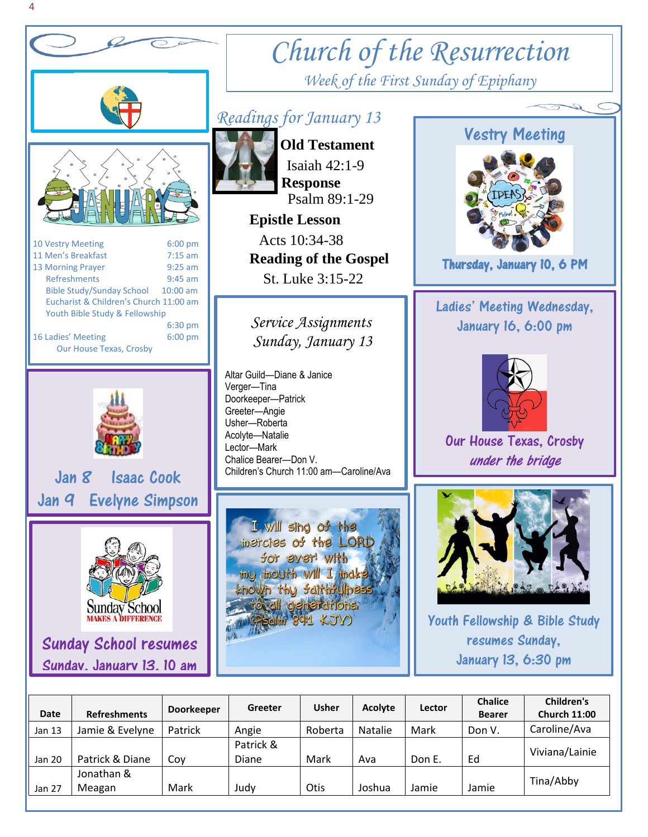

# *Church of the Resurrection Week of the First Sunday of Epiphany*

## *Readings for January 13*

 **Old Testament** Isaiah 42:1-9  **Response** Psalm 89:1-29

 **Epistle Lesson** Acts 10:34-38  **Reading of the Gospel**  St. Luke 3:15-22

 *Sunday, January 13 Service Assignments*

Altar Guild—Diane & Janice Doorkeeper—Patrick Chalice Bearer—Don V. Children's Church 11:00 am—Caroline/Ava

I will sing of the inercles of the LORD for ever with iny mouth will I indke known thy faithfulness to all generations Selin 891 KJV)



Thursday, January 10, 6 PM

### Ladies' Meeting Wednesday, January 16, 6:00 pm



Our House Texas, Crosby under the bridge



Youth Fellowship & Bible Study resumes Sunday, January 13, 6:30 pm

| Date   | <b>Refreshments</b> | <b>Doorkeeper</b> | Greeter   | <b>Usher</b> | <b>Acolyte</b> | Lector | <b>Chalice</b><br><b>Bearer</b> | Children's<br><b>Church 11:00</b> |
|--------|---------------------|-------------------|-----------|--------------|----------------|--------|---------------------------------|-----------------------------------|
| Jan 13 | Jamie & Evelyne     | Patrick           | Angie     | Roberta      | Natalie        | Mark   | Don V.                          | Caroline/Ava                      |
|        |                     |                   | Patrick & |              |                |        |                                 | Viviana/Lainie                    |
| Jan 20 | Patrick & Diane     | Cov               | Diane     | Mark         | Ava            | Don E. | Ed                              |                                   |
|        | Jonathan &          |                   |           |              |                |        |                                 | Tina/Abby                         |
| Jan 27 | Meagan              | Mark              | Judy      | Otis         | Joshua         | Jamie  | Jamie                           |                                   |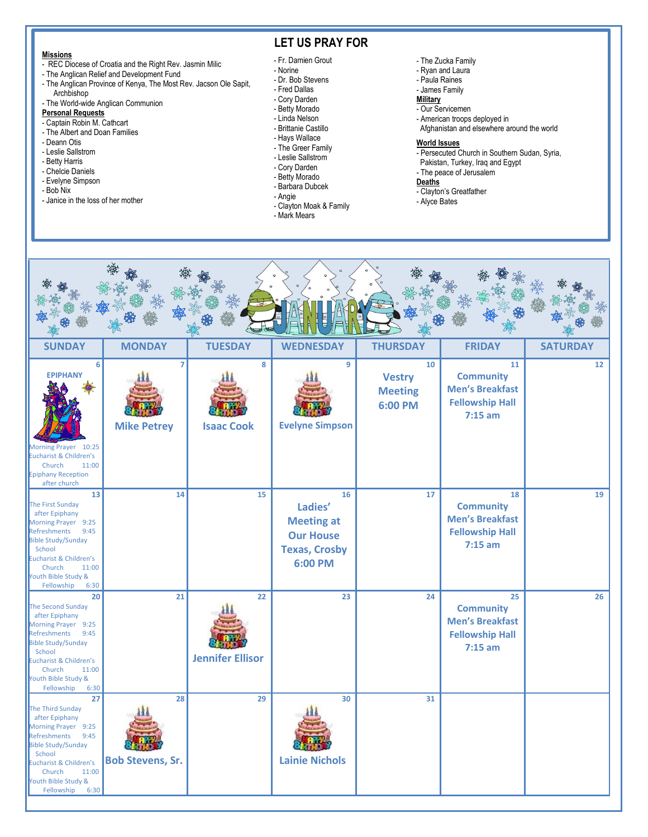#### **Missions**

- REC Diocese of Croatia and the Right Rev. Jasmin Milic
- The Anglican Relief and Development Fund
- The Anglican Province of Kenya, The Most Rev. Jacson Ole Sapit, Archbishop
- The World-wide Anglican Communion

#### **Personal Requests**

- Captain Robin M. Cathcart
- The Albert and Doan Families
- Deann Otis
- Leslie Sallstrom
- Betty Harris
- Chelcie Daniels
- Evelyne Simpson
- Bob Nix
- Janice in the loss of her mother

### **LET US PRAY FOR**

- Fr. Damien Grout
- Norine
- Dr. Bob Stevens
- Fred Dallas - Cory Darden
- Betty Morado
- Linda Nelson
- Brittanie Castillo
- Hays Wallace
- The Greer Family
- Leslie Sallstrom
- Cory Darden
- Betty Morado
- Barbara Dubcek
- Angie
- Clayton Moak & Family
- Mark Mears

#### - The Zucka Family

- Ryan and Laura
- Paula Raines
- James Family
- **Military** - Our Servicemen
- American troops deployed in
- Afghanistan and elsewhere around the world

I

#### **World Issues**

- Persecuted Church in Southern Sudan, Syria,
- Pakistan, Turkey, Iraq and Egypt
- The peace of Jerusalem

#### **Deaths**

- Clayton's Greatfather
- Alyce Bates

| <b>SUNDAY</b>                                                                                                                                                                                                                        | <b>MONDAY</b>                        | <b>TUESDAY</b>                | <b>WEDNESDAY</b>                                                                          | <b>THURSDAY</b>                                  | <b>FRIDAY</b>                                                                           | <b>SATURDAY</b> |  |  |  |  |  |  |
|--------------------------------------------------------------------------------------------------------------------------------------------------------------------------------------------------------------------------------------|--------------------------------------|-------------------------------|-------------------------------------------------------------------------------------------|--------------------------------------------------|-----------------------------------------------------------------------------------------|-----------------|--|--|--|--|--|--|
| 6<br><b>EPIPHANY</b><br>Morning Prayer 10:25<br>Eucharist & Children's<br>Church<br>11:00<br><b>Epiphany Reception</b><br>after church                                                                                               | $\overline{7}$<br><b>Mike Petrey</b> | 8<br><b>Isaac Cook</b>        | 9<br><b>Evelyne Simpson</b>                                                               | 10<br><b>Vestry</b><br><b>Meeting</b><br>6:00 PM | 11<br><b>Community</b><br><b>Men's Breakfast</b><br><b>Fellowship Hall</b><br>$7:15$ am | 12              |  |  |  |  |  |  |
| 13<br><b>The First Sunday</b><br>after Epiphany<br>Morning Prayer 9:25<br>Refreshments<br>9:45<br><b>Bible Study/Sunday</b><br>School<br>Eucharist & Children's<br>11:00<br>Church<br>Youth Bible Study &<br>Fellowship<br>6:30      | 14                                   | 15                            | 16<br>Ladies'<br><b>Meeting at</b><br><b>Our House</b><br><b>Texas, Crosby</b><br>6:00 PM | 17                                               | 18<br><b>Community</b><br><b>Men's Breakfast</b><br><b>Fellowship Hall</b><br>$7:15$ am | 19              |  |  |  |  |  |  |
| 20<br>The Second Sunday<br>after Epiphany<br>Morning Prayer 9:25<br>Refreshments<br>9:45<br><b>Bible Study/Sunday</b><br>School<br><b>Eucharist &amp; Children's</b><br>Church<br>11:00<br>Youth Bible Study &<br>Fellowship<br>6:30 | 21                                   | 22<br><b>Jennifer Ellisor</b> | 23                                                                                        | 24                                               | 25<br><b>Community</b><br><b>Men's Breakfast</b><br><b>Fellowship Hall</b><br>$7:15$ am | 26              |  |  |  |  |  |  |
| 27<br>The Third Sunday<br>after Epiphany<br>Morning Prayer 9:25<br>Refreshments<br>9:45<br><b>Bible Study/Sunday</b><br>School<br>Eucharist & Children's<br>11:00<br>Church<br>Youth Bible Study &<br>Fellowship<br>6:30             | 28<br><b>Bob Stevens, Sr.</b>        | 29                            | 30<br><b>Lainie Nichols</b>                                                               | 31                                               |                                                                                         |                 |  |  |  |  |  |  |